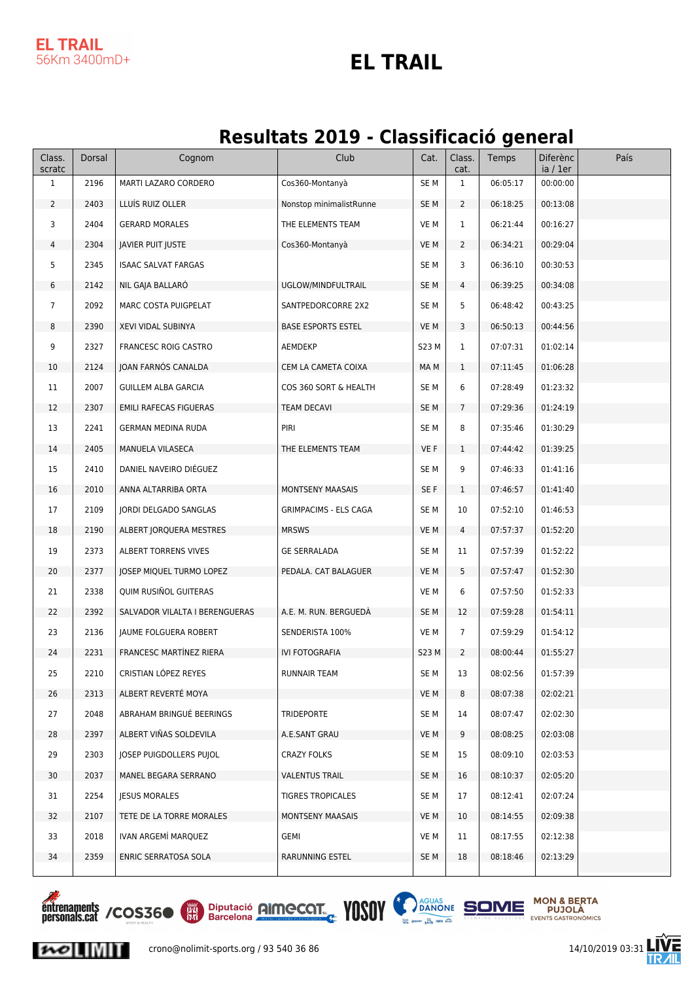#### **EL TRAIL** 56Km 3400mD+

#### **EL TRAIL**

#### **Resultats 2019 - Classificació general**

| Class.<br>scratc | Dorsal | Cognom                         | Club                         | Cat.            | Class.<br>cat. | Temps    | <b>Diferènc</b><br>ia / 1er | País |
|------------------|--------|--------------------------------|------------------------------|-----------------|----------------|----------|-----------------------------|------|
| $\mathbf{1}$     | 2196   | MARTI LAZARO CORDERO           | Cos360-Montanyà              | SE <sub>M</sub> | $\mathbf{1}$   | 06:05:17 | 00:00:00                    |      |
| $\overline{2}$   | 2403   | LLUİS RUIZ OLLER               | Nonstop minimalistRunne      | SE <sub>M</sub> | $\overline{2}$ | 06:18:25 | 00:13:08                    |      |
| 3                | 2404   | <b>GERARD MORALES</b>          | THE ELEMENTS TEAM            | VE M            | 1              | 06:21:44 | 00:16:27                    |      |
| 4                | 2304   | JAVIER PUIT JUSTE              | Cos360-Montanyà              | VE M            | $\overline{2}$ | 06:34:21 | 00:29:04                    |      |
| 5                | 2345   | <b>ISAAC SALVAT FARGAS</b>     |                              | SE M            | 3              | 06:36:10 | 00:30:53                    |      |
| 6                | 2142   | NIL GAJA BALLARO               | UGLOW/MINDFULTRAIL           | SE M            | 4              | 06:39:25 | 00:34:08                    |      |
| $\overline{7}$   | 2092   | MARC COSTA PUIGPELAT           | SANTPEDORCORRE 2X2           | SE M            | 5              | 06:48:42 | 00:43:25                    |      |
| 8                | 2390   | XEVI VIDAL SUBINYA             | <b>BASE ESPORTS ESTEL</b>    | VE M            | 3              | 06:50:13 | 00:44:56                    |      |
| 9                | 2327   | <b>FRANCESC ROIG CASTRO</b>    | AEMDEKP                      | S23 M           | 1              | 07:07:31 | 01:02:14                    |      |
| 10               | 2124   | JOAN FARNOS CANALDA            | CEM LA CAMETA COIXA          | MA M            | $\mathbf{1}$   | 07:11:45 | 01:06:28                    |      |
| 11               | 2007   | <b>GUILLEM ALBA GARCIA</b>     | COS 360 SORT & HEALTH        | SE M            | 6              | 07:28:49 | 01:23:32                    |      |
| 12               | 2307   | <b>EMILI RAFECAS FIGUERAS</b>  | <b>TEAM DECAVI</b>           | SE M            | $\overline{7}$ | 07:29:36 | 01:24:19                    |      |
| 13               | 2241   | GERMAN MEDINA RUDA             | PIRI                         | SE M            | 8              | 07:35:46 | 01:30:29                    |      |
| 14               | 2405   | MANUELA VILASECA               | THE ELEMENTS TEAM            | VE F            | $\mathbf{1}$   | 07:44:42 | 01:39:25                    |      |
| 15               | 2410   | DANIEL NAVEIRO DIÉGUEZ         |                              | SE M            | 9              | 07:46:33 | 01:41:16                    |      |
| 16               | 2010   | ANNA ALTARRIBA ORTA            | MONTSENY MAASAIS             | SE F            | $\mathbf{1}$   | 07:46:57 | 01:41:40                    |      |
| 17               | 2109   | JORDI DELGADO SANGLAS          | <b>GRIMPACIMS - ELS CAGA</b> | SE <sub>M</sub> | 10             | 07:52:10 | 01:46:53                    |      |
| 18               | 2190   | ALBERT JORQUERA MESTRES        | <b>MRSWS</b>                 | VE M            | 4              | 07:57:37 | 01:52:20                    |      |
| 19               | 2373   | ALBERT TORRENS VIVES           | <b>GE SERRALADA</b>          | SE M            | 11             | 07:57:39 | 01:52:22                    |      |
| 20               | 2377   | JOSEP MIQUEL TURMO LOPEZ       | PEDALA. CAT BALAGUER         | VE M            | 5              | 07:57:47 | 01:52:30                    |      |
| 21               | 2338   | QUIM RUSIÑOL GUITERAS          |                              | VE M            | 6              | 07:57:50 | 01:52:33                    |      |
| 22               | 2392   | SALVADOR VILALTA I BERENGUERAS | A.E. M. RUN. BERGUEDÀ        | SE <sub>M</sub> | 12             | 07:59:28 | 01:54:11                    |      |
| 23               | 2136   | JAUME FOLGUERA ROBERT          | SENDERISTA 100%              | VE M            | $\overline{7}$ | 07:59:29 | 01:54:12                    |      |
| 24               | 2231   | <b>FRANCESC MARTÍNEZ RIERA</b> | IVI FOTOGRAFIA               | S23 M           | $\overline{2}$ | 08:00:44 | 01:55:27                    |      |
| 25               | 2210   | CRISTIAN LÓPEZ REYES           | RUNNAIR TEAM                 | SE M            | 13             | 08:02:56 | 01:57:39                    |      |
| 26               | 2313   | ALBERT REVERTÉ MOYA            |                              | VE M            | 8              | 08:07:38 | 02:02:21                    |      |
| 27               | 2048   | ABRAHAM BRINGUÉ BEERINGS       | TRIDEPORTE                   | SE M            | 14             | 08:07:47 | 02:02:30                    |      |
| 28               | 2397   | ALBERT VIÑAS SOLDEVILA         | A.E.SANT GRAU                | VE M            | 9              | 08:08:25 | 02:03:08                    |      |
| 29               | 2303   | JOSEP PUIGDOLLERS PUJOL        | <b>CRAZY FOLKS</b>           | SE M            | 15             | 08:09:10 | 02:03:53                    |      |
| 30               | 2037   | MANEL BEGARA SERRANO           | <b>VALENTUS TRAIL</b>        | SE M            | 16             | 08:10:37 | 02:05:20                    |      |
| 31               | 2254   | <b>JESUS MORALES</b>           | <b>TIGRES TROPICALES</b>     | SE M            | 17             | 08:12:41 | 02:07:24                    |      |
| 32               | 2107   | TETE DE LA TORRE MORALES       | MONTSENY MAASAIS             | VE M            | 10             | 08:14:55 | 02:09:38                    |      |
| 33               | 2018   | IVAN ARGEMI MARQUEZ            | GEMI                         | VE M            | 11             | 08:17:55 | 02:12:38                    |      |
| 34               | 2359   | ENRIC SERRATOSA SOLA           | RARUNNING ESTEL              | SE M            | 18             | 08:18:46 | 02:13:29                    |      |
|                  |        |                                |                              |                 |                |          |                             |      |

**Entrenaments / COS360 (EX) Diputació AIMECOT.** VOSOV D'AQUAS SOME MON & BERTA

 $\sim$   $\sim$   $\sim$ 





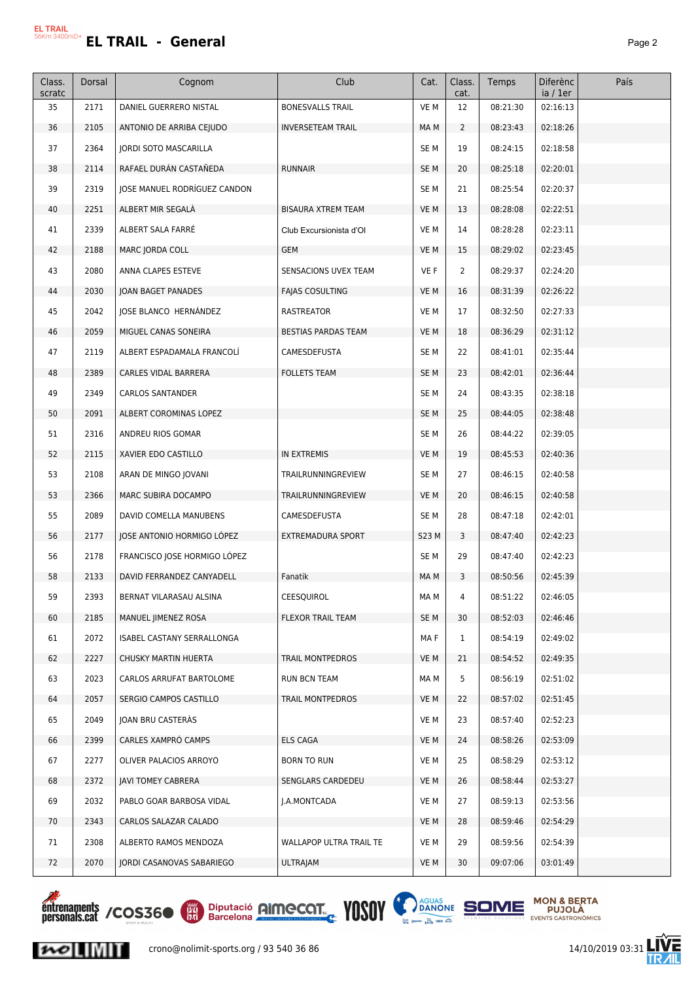| Class. |        |                                  | Club                       | Cat.            | Class.         | Temps    | <b>Diferènc</b> | País |
|--------|--------|----------------------------------|----------------------------|-----------------|----------------|----------|-----------------|------|
| scratc | Dorsal | Cognom                           |                            |                 | cat.           |          | ia / 1er        |      |
| 35     | 2171   | DANIEL GUERRERO NISTAL           | <b>BONESVALLS TRAIL</b>    | VE M            | 12             | 08:21:30 | 02:16:13        |      |
| 36     | 2105   | ANTONIO DE ARRIBA CEJUDO         | <b>INVERSETEAM TRAIL</b>   | MA M            | $\overline{2}$ | 08:23:43 | 02:18:26        |      |
| 37     | 2364   | <b>JORDI SOTO MASCARILLA</b>     |                            | SE M            | 19             | 08:24:15 | 02:18:58        |      |
| 38     | 2114   | RAFAEL DURÁN CASTAÑEDA           | <b>RUNNAIR</b>             | SE <sub>M</sub> | 20             | 08:25:18 | 02:20:01        |      |
| 39     | 2319   | JOSE MANUEL RODRÍGUEZ CANDON     |                            | SE <sub>M</sub> | 21             | 08:25:54 | 02:20:37        |      |
| 40     | 2251   | ALBERT MIR SEGALA                | <b>BISAURA XTREM TEAM</b>  | VE M            | 13             | 08:28:08 | 02:22:51        |      |
| 41     | 2339   | ALBERT SALA FARRÉ                | Club Excursionista d'Ol    | VE M            | 14             | 08:28:28 | 02:23:11        |      |
| 42     | 2188   | MARC JORDA COLL                  | <b>GEM</b>                 | VE M            | 15             | 08:29:02 | 02:23:45        |      |
| 43     | 2080   | ANNA CLAPES ESTEVE               | SENSACIONS UVEX TEAM       | VE F            | $\overline{2}$ | 08:29:37 | 02:24:20        |      |
| 44     | 2030   | JOAN BAGET PANADES               | <b>FAJAS COSULTING</b>     | VE M            | 16             | 08:31:39 | 02:26:22        |      |
| 45     | 2042   | JOSE BLANCO HERNANDEZ            | RASTREATOR                 | VE M            | 17             | 08:32:50 | 02:27:33        |      |
| 46     | 2059   | MIGUEL CANAS SONEIRA             | <b>BESTIAS PARDAS TEAM</b> | VE M            | 18             | 08:36:29 | 02:31:12        |      |
| 47     | 2119   | ALBERT ESPADAMALA FRANCOLÍ       | CAMESDEFUSTA               | SE <sub>M</sub> | 22             | 08:41:01 | 02:35:44        |      |
| 48     | 2389   | CARLES VIDAL BARRERA             | <b>FOLLETS TEAM</b>        | SE <sub>M</sub> | 23             | 08:42:01 | 02:36:44        |      |
| 49     | 2349   | <b>CARLOS SANTANDER</b>          |                            | SE <sub>M</sub> | 24             | 08:43:35 | 02:38:18        |      |
| 50     | 2091   | ALBERT COROMINAS LOPEZ           |                            | SE <sub>M</sub> | 25             | 08:44:05 | 02:38:48        |      |
| 51     | 2316   | ANDREU RIOS GOMAR                |                            | SE <sub>M</sub> | 26             | 08:44:22 | 02:39:05        |      |
| 52     | 2115   | XAVIER EDO CASTILLO              | IN EXTREMIS                | VE M            | 19             | 08:45:53 | 02:40:36        |      |
| 53     | 2108   | ARAN DE MINGO JOVANI             | TRAILRUNNINGREVIEW         | SE <sub>M</sub> | 27             | 08:46:15 | 02:40:58        |      |
| 53     | 2366   | MARC SUBIRA DOCAMPO              | TRAILRUNNINGREVIEW         | VE M            | 20             | 08:46:15 | 02:40:58        |      |
| 55     | 2089   | DAVID COMELLA MANUBENS           | CAMESDEFUSTA               | SE <sub>M</sub> | 28             | 08:47:18 | 02:42:01        |      |
| 56     | 2177   | JOSE ANTONIO HORMIGO LÓPEZ       | EXTREMADURA SPORT          | S23 M           | 3              | 08:47:40 | 02:42:23        |      |
| 56     | 2178   | FRANCISCO JOSE HORMIGO LÓPEZ     |                            | SE <sub>M</sub> | 29             | 08:47:40 | 02:42:23        |      |
| 58     | 2133   | DAVID FERRANDEZ CANYADELL        | Fanatik                    | MA M            | 3              | 08:50:56 | 02:45:39        |      |
| 59     | 2393   | BERNAT VILARASAU ALSINA          | CEESQUIROL                 | MA M            | 4              | 08:51:22 | 02:46:05        |      |
| 60     | 2185   | MANUEL IIMENEZ ROSA              | FLEXOR TRAIL TEAM          | SE <sub>M</sub> | 30             | 08:52:03 | 02:46:46        |      |
| 61     | 2072   | ISABEL CASTANY SERRALLONGA       |                            | MA F            | $\mathbf{1}$   | 08:54:19 | 02:49:02        |      |
| 62     | 2227   | CHUSKY MARTIN HUERTA             | TRAIL MONTPEDROS           | VE M            | 21             | 08:54:52 | 02:49:35        |      |
| 63     | 2023   | CARLOS ARRUFAT BARTOLOME         | <b>RUN BCN TEAM</b>        | MA M            | 5              | 08:56:19 | 02:51:02        |      |
| 64     | 2057   | SERGIO CAMPOS CASTILLO           | TRAIL MONTPEDROS           | VE M            | 22             | 08:57:02 | 02:51:45        |      |
| 65     | 2049   | JOAN BRU CASTERAS                |                            | VE M            | 23             | 08:57:40 | 02:52:23        |      |
| 66     | 2399   | CARLES XAMPRÓ CAMPS              | <b>ELS CAGA</b>            | VE M            | 24             | 08:58:26 | 02:53:09        |      |
| 67     | 2277   | OLIVER PALACIOS ARROYO           | <b>BORN TO RUN</b>         | VE M            | 25             | 08:58:29 | 02:53:12        |      |
| 68     | 2372   | JAVI TOMEY CABRERA               | SENGLARS CARDEDEU          | VE M            | 26             | 08:58:44 | 02:53:27        |      |
| 69     | 2032   | PABLO GOAR BARBOSA VIDAL         | J.A.MONTCADA               | VE M            | 27             | 08:59:13 | 02:53:56        |      |
| 70     | 2343   | CARLOS SALAZAR CALADO            |                            | VE M            | 28             | 08:59:46 | 02:54:29        |      |
| 71     | 2308   | ALBERTO RAMOS MENDOZA            | WALLAPOP ULTRA TRAIL TE    | VE M            | 29             | 08:59:56 | 02:54:39        |      |
| 72     | 2070   | <b>JORDI CASANOVAS SABARIEGO</b> | ULTRAJAM                   | VE M            | 30             | 09:07:06 | 03:01:49        |      |
|        |        |                                  |                            |                 |                |          |                 |      |



 $|{\boldsymbol{\kappa}}\circ|$   $\|$   $\|$   $\|$   $\|$   $\|$ 





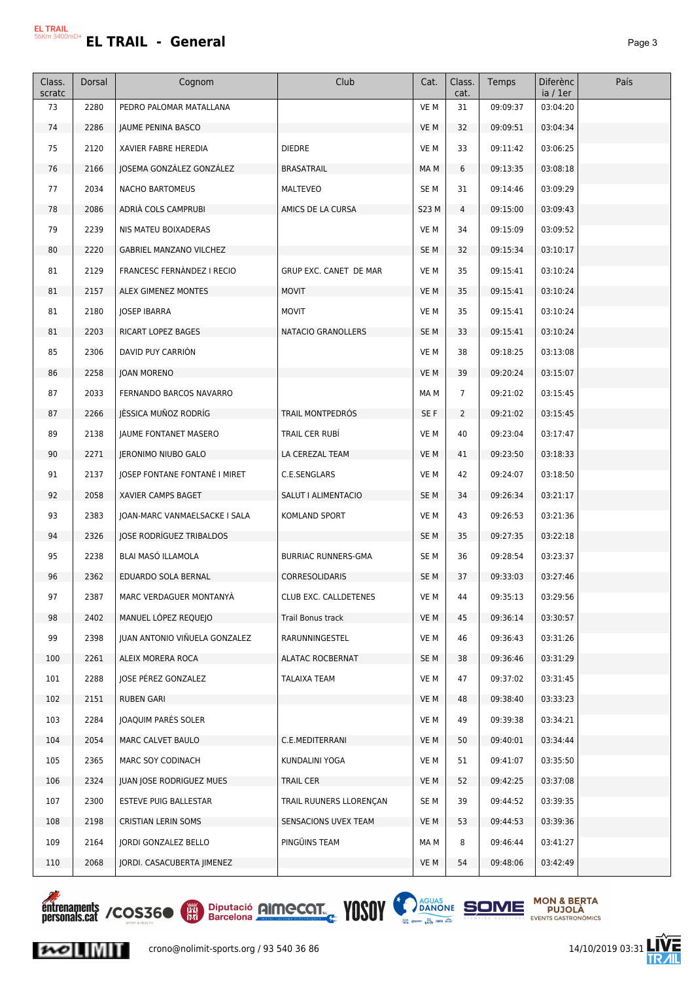| Class.<br>scratc | Dorsal | Cognom                         | Club                       | Cat.            | Class.<br>cat. | Temps    | <b>Diferènc</b><br>ia / 1er | País |
|------------------|--------|--------------------------------|----------------------------|-----------------|----------------|----------|-----------------------------|------|
| 73               | 2280   | PEDRO PALOMAR MATALLANA        |                            | VE M            | 31             | 09:09:37 | 03:04:20                    |      |
| 74               | 2286   | JAUME PENINA BASCO             |                            | VE M            | 32             | 09:09:51 | 03:04:34                    |      |
| 75               | 2120   | XAVIER FABRE HEREDIA           | <b>DIEDRE</b>              | VE M            | 33             | 09:11:42 | 03:06:25                    |      |
| 76               | 2166   | JOSEMA GONZÁLEZ GONZÁLEZ       | <b>BRASATRAIL</b>          | MA M            | 6              | 09:13:35 | 03:08:18                    |      |
| 77               | 2034   | <b>NACHO BARTOMEUS</b>         | MALTEVEO                   | SE <sub>M</sub> | 31             | 09:14:46 | 03:09:29                    |      |
| 78               | 2086   | ADRIA COLS CAMPRUBI            | AMICS DE LA CURSA          | S23 M           | 4              | 09:15:00 | 03:09:43                    |      |
| 79               | 2239   | NIS MATEU BOIXADERAS           |                            | VE M            | 34             | 09:15:09 | 03:09:52                    |      |
| 80               | 2220   | <b>GABRIEL MANZANO VILCHEZ</b> |                            | SE <sub>M</sub> | 32             | 09:15:34 | 03:10:17                    |      |
| 81               | 2129   | FRANCESC FERNANDEZ I RECIO     | GRUP EXC. CANET DE MAR     | VE M            | 35             | 09:15:41 | 03:10:24                    |      |
| 81               | 2157   | ALEX GIMENEZ MONTES            | <b>MOVIT</b>               | VE M            | 35             | 09:15:41 | 03:10:24                    |      |
| 81               | 2180   | <b>JOSEP IBARRA</b>            | <b>MOVIT</b>               | VE M            | 35             | 09:15:41 | 03:10:24                    |      |
| 81               | 2203   | RICART LOPEZ BAGES             | NATACIO GRANOLLERS         | SE <sub>M</sub> | 33             | 09:15:41 | 03:10:24                    |      |
| 85               | 2306   | DAVID PUY CARRION              |                            | VE M            | 38             | 09:18:25 | 03:13:08                    |      |
| 86               | 2258   | JOAN MORENO                    |                            | VE M            | 39             | 09:20:24 | 03:15:07                    |      |
| 87               | 2033   | FERNANDO BARCOS NAVARRO        |                            | MA M            | $\overline{7}$ | 09:21:02 | 03:15:45                    |      |
| 87               | 2266   | JESSICA MUÑOZ RODRÍG           | TRAIL MONTPEDRÓS           | SE F            | $\overline{2}$ | 09:21:02 | 03:15:45                    |      |
| 89               | 2138   | <b>JAUME FONTANET MASERO</b>   | TRAIL CER RUBI             | VE M            | 40             | 09:23:04 | 03:17:47                    |      |
| 90               | 2271   | JERONIMO NIUBO GALO            | LA CEREZAL TEAM            | VE M            | 41             | 09:23:50 | 03:18:33                    |      |
| 91               | 2137   | JOSEP FONTANE FONTANÉ I MIRET  | C.E.SENGLARS               | VE M            | 42             | 09:24:07 | 03:18:50                    |      |
| 92               | 2058   | XAVIER CAMPS BAGET             | SALUT I ALIMENTACIO        | SE <sub>M</sub> | 34             | 09:26:34 | 03:21:17                    |      |
| 93               | 2383   | JOAN-MARC VANMAELSACKE I SALA  | KOMLAND SPORT              | VE M            | 43             | 09:26:53 | 03:21:36                    |      |
| 94               | 2326   | JOSE RODRÍGUEZ TRIBALDOS       |                            | SE <sub>M</sub> | 35             | 09:27:35 | 03:22:18                    |      |
| 95               | 2238   | BLAI MASÓ ILLAMOLA             | <b>BURRIAC RUNNERS-GMA</b> | SE <sub>M</sub> | 36             | 09:28:54 | 03:23:37                    |      |
| 96               | 2362   | EDUARDO SOLA BERNAL            | <b>CORRESOLIDARIS</b>      | SE <sub>M</sub> | 37             | 09:33:03 | 03:27:46                    |      |
| 97               | 2387   | MARC VERDAGUER MONTANYA        | CLUB EXC. CALLDETENES      | VE M            | 44             | 09:35:13 | 03:29:56                    |      |
| 98               | 2402   | MANUEL LÓPEZ REQUEJO           | Trail Bonus track          | VE M            | 45             | 09:36:14 | 03:30:57                    |      |
| 99               | 2398   | JUAN ANTONIO VIÑUELA GONZALEZ  | RARUNNINGESTEL             | VE M            | 46             | 09:36:43 | 03:31:26                    |      |
| 100              | 2261   | ALEIX MORERA ROCA              | ALATAC ROCBERNAT           | SE <sub>M</sub> | 38             | 09:36:46 | 03:31:29                    |      |
| 101              | 2288   | JOSE PÉREZ GONZALEZ            | <b>TALAIXA TEAM</b>        | VE M            | 47             | 09:37:02 | 03:31:45                    |      |
| 102              | 2151   | <b>RUBEN GARI</b>              |                            | VE M            | 48             | 09:38:40 | 03:33:23                    |      |
| 103              | 2284   | JOAQUIM PARÉS SOLER            |                            | VE M            | 49             | 09:39:38 | 03:34:21                    |      |
| 104              | 2054   | MARC CALVET BAULO              | C.E.MEDITERRANI            | VE M            | 50             | 09:40:01 | 03:34:44                    |      |
| 105              | 2365   | MARC SOY CODINACH              | KUNDALINI YOGA             | VE M            | 51             | 09:41:07 | 03:35:50                    |      |
| 106              | 2324   | JUAN JOSE RODRIGUEZ MUES       | TRAIL CER                  | VE M            | 52             | 09:42:25 | 03:37:08                    |      |
| 107              | 2300   | ESTEVE PUIG BALLESTAR          | TRAIL RUUNERS LLORENÇAN    | SE <sub>M</sub> | 39             | 09:44:52 | 03:39:35                    |      |
| 108              | 2198   | CRISTIAN LERIN SOMS            | SENSACIONS UVEX TEAM       | VE M            | 53             | 09:44:53 | 03:39:36                    |      |
| 109              | 2164   | JORDI GONZALEZ BELLO           | PINGÜINS TEAM              | MA M            | 8              | 09:46:44 | 03:41:27                    |      |
| 110              | 2068   | JORDI. CASACUBERTA JIMENEZ     |                            | VE M            | 54             | 09:48:06 | 03:42:49                    |      |



 $|{\boldsymbol{\kappa}}\circ|$  .  $\|$   $\|$   $\|$   $\|$ 



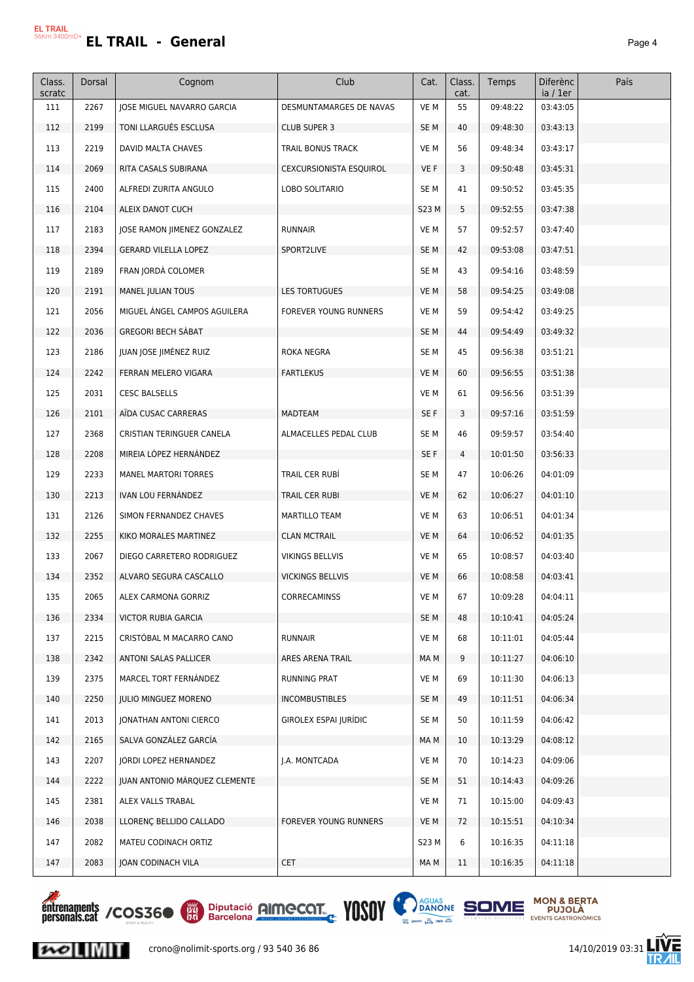# **EL TRAIL - General** *Page 4*

| Class.        | Dorsal | Cognom                             | Club                           | Cat.            | Class.     | Temps    | <b>Diferènc</b>      | País |
|---------------|--------|------------------------------------|--------------------------------|-----------------|------------|----------|----------------------|------|
| scratc<br>111 | 2267   | <b>JOSE MIGUEL NAVARRO GARCIA</b>  | <b>DESMUNTAMARGES DE NAVAS</b> | VE M            | cat.<br>55 | 09:48:22 | ia / 1er<br>03:43:05 |      |
| 112           | 2199   | TONI LLARGUES ESCLUSA              | <b>CLUB SUPER 3</b>            | SE M            | 40         | 09:48:30 | 03:43:13             |      |
| 113           | 2219   | DAVID MALTA CHAVES                 | TRAIL BONUS TRACK              | VE M            | 56         | 09:48:34 | 03:43:17             |      |
| 114           | 2069   | RITA CASALS SUBIRANA               | <b>CEXCURSIONISTA ESQUIROL</b> | VE F            | 3          | 09:50:48 | 03:45:31             |      |
| 115           | 2400   | ALFREDI ZURITA ANGULO              | LOBO SOLITARIO                 | SE M            | 41         | 09:50:52 | 03:45:35             |      |
| 116           | 2104   | ALEIX DANOT CUCH                   |                                | S23 M           | 5          | 09:52:55 | 03:47:38             |      |
| 117           | 2183   | <b>JOSE RAMON JIMENEZ GONZALEZ</b> | <b>RUNNAIR</b>                 | VE M            | 57         | 09:52:57 | 03:47:40             |      |
| 118           | 2394   | GERARD VILELLA LOPEZ               | SPORT2LIVE                     | SE M            | 42         | 09:53:08 | 03:47:51             |      |
| 119           | 2189   | FRAN JORDÀ COLOMER                 |                                | SE M            | 43         | 09:54:16 | 03:48:59             |      |
| 120           | 2191   | MANEL JULIAN TOUS                  | LES TORTUGUES                  | VE M            | 58         | 09:54:25 | 03:49:08             |      |
| 121           | 2056   | MIGUEL ANGEL CAMPOS AGUILERA       | <b>FOREVER YOUNG RUNNERS</b>   | VE M            | 59         | 09:54:42 | 03:49:25             |      |
| 122           | 2036   | <b>GREGORI BECH SABAT</b>          |                                | SE <sub>M</sub> | 44         | 09:54:49 | 03:49:32             |      |
| 123           | 2186   | JUAN JOSE JIMÉNEZ RUIZ             | ROKA NEGRA                     | SE <sub>M</sub> | 45         | 09:56:38 | 03:51:21             |      |
| 124           | 2242   | FERRAN MELERO VIGARA               | <b>FARTLEKUS</b>               | VE M            | 60         | 09:56:55 | 03:51:38             |      |
| 125           | 2031   | <b>CESC BALSELLS</b>               |                                | VE M            | 61         | 09:56:56 | 03:51:39             |      |
| 126           | 2101   | AÏDA CUSAC CARRERAS                | MADTEAM                        | SE F            | 3          | 09:57:16 | 03:51:59             |      |
| 127           | 2368   | CRISTIAN TERINGUER CANELA          | ALMACELLES PEDAL CLUB          | SE M            | 46         | 09:59:57 | 03:54:40             |      |
| 128           | 2208   | MIREIA LÓPEZ HERNÁNDEZ             |                                | SE F            | 4          | 10:01:50 | 03:56:33             |      |
| 129           | 2233   | <b>MANEL MARTORI TORRES</b>        | TRAIL CER RUBI                 | SE <sub>M</sub> | 47         | 10:06:26 | 04:01:09             |      |
| 130           | 2213   | IVAN LOU FERNANDEZ                 | TRAIL CER RUBI                 | VE M            | 62         | 10:06:27 | 04:01:10             |      |
| 131           | 2126   | SIMON FERNANDEZ CHAVES             | MARTILLO TEAM                  | VE M            | 63         | 10:06:51 | 04:01:34             |      |
| 132           | 2255   | KIKO MORALES MARTINEZ              | <b>CLAN MCTRAIL</b>            | VE M            | 64         | 10:06:52 | 04:01:35             |      |
| 133           | 2067   | DIEGO CARRETERO RODRIGUEZ          | VIKINGS BELLVIS                | VE M            | 65         | 10:08:57 | 04:03:40             |      |
| 134           | 2352   | ALVARO SEGURA CASCALLO             | <b>VICKINGS BELLVIS</b>        | VE M            | 66         | 10:08:58 | 04:03:41             |      |
| 135           | 2065   | ALEX CARMONA GORRIZ                | CORRECAMINSS                   | VE M            | 67         | 10:09:28 | 04:04:11             |      |
| 136           | 2334   | VICTOR RUBIA GARCIA                |                                | SE M            | 48         | 10:10:41 | 04:05:24             |      |
| 137           | 2215   | CRISTÓBAL M MACARRO CANO           | <b>RUNNAIR</b>                 | VE M            | 68         | 10:11:01 | 04:05:44             |      |
| 138           | 2342   | ANTONI SALAS PALLICER              | ARES ARENA TRAIL               | MA M            | 9          | 10:11:27 | 04:06:10             |      |
| 139           | 2375   | MARCEL TORT FERNÁNDEZ              | RUNNING PRAT                   | VE M            | 69         | 10:11:30 | 04:06:13             |      |
| 140           | 2250   | <b>JULIO MINGUEZ MORENO</b>        | <b>INCOMBUSTIBLES</b>          | SE M            | 49         | 10:11:51 | 04:06:34             |      |
| 141           | 2013   | <b>JONATHAN ANTONI CIERCO</b>      | <b>GIROLEX ESPAI JURÍDIC</b>   | SE <sub>M</sub> | 50         | 10:11:59 | 04:06:42             |      |
| 142           | 2165   | SALVA GONZÁLEZ GARCÍA              |                                | MA M            | 10         | 10:13:29 | 04:08:12             |      |
| 143           | 2207   | JORDI LOPEZ HERNANDEZ              | I.A. MONTCADA                  | VE M            | 70         | 10:14:23 | 04:09:06             |      |
| 144           | 2222   | JUAN ANTONIO MARQUEZ CLEMENTE      |                                | SE M            | 51         | 10:14:43 | 04:09:26             |      |
| 145           | 2381   | ALEX VALLS TRABAL                  |                                | VE M            | 71         | 10:15:00 | 04:09:43             |      |
| 146           | 2038   | LLORENÇ BELLIDO CALLADO            | FOREVER YOUNG RUNNERS          | VE M            | 72         | 10:15:51 | 04:10:34             |      |
| 147           | 2082   | MATEU CODINACH ORTIZ               |                                | S23 M           | 6          | 10:16:35 | 04:11:18             |      |
| 147           | 2083   | JOAN CODINACH VILA                 | <b>CET</b>                     | MA M            | 11         | 10:16:35 | 04:11:18             |      |



 $|{\boldsymbol{\kappa}}\circ|$   $\|$   $\|$   $\|$   $\|$   $\|$ 







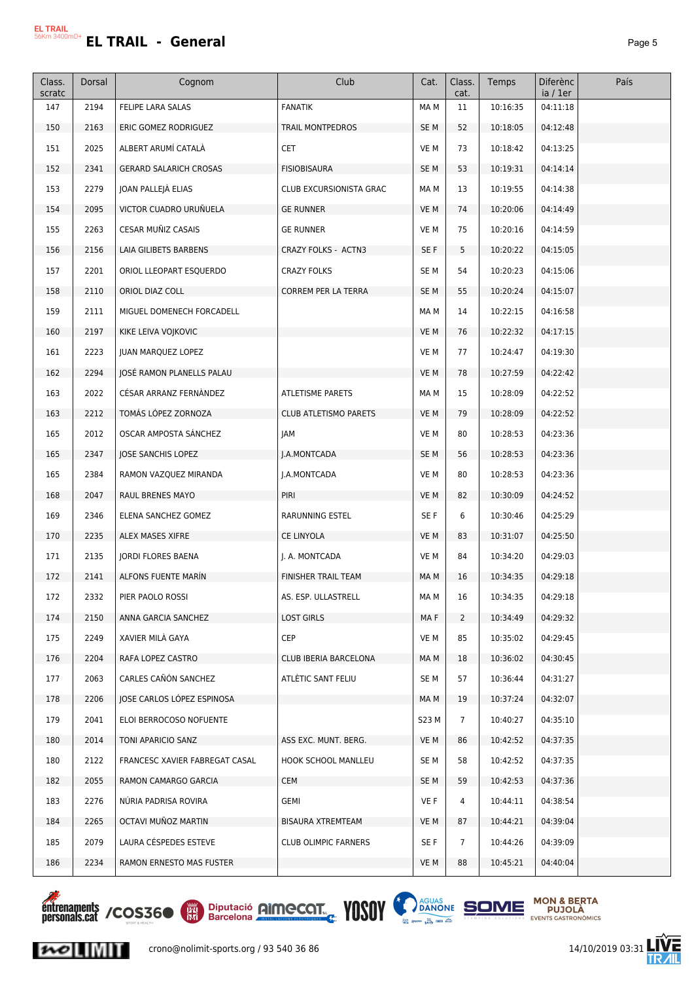| Class.<br>scratc | Dorsal | Cognom                         | Club                        | Cat.            | Class.<br>cat. | Temps    | <b>Diferènc</b><br>ia / 1er | País |
|------------------|--------|--------------------------------|-----------------------------|-----------------|----------------|----------|-----------------------------|------|
| 147              | 2194   | FELIPE LARA SALAS              | <b>FANATIK</b>              | MA M            | 11             | 10:16:35 | 04:11:18                    |      |
| 150              | 2163   | ERIC GOMEZ RODRIGUEZ           | TRAIL MONTPEDROS            | SE M            | 52             | 10:18:05 | 04:12:48                    |      |
| 151              | 2025   | ALBERT ARUMÍ CATALÀ            | <b>CET</b>                  | VE M            | 73             | 10:18:42 | 04:13:25                    |      |
| 152              | 2341   | <b>GERARD SALARICH CROSAS</b>  | <b>FISIOBISAURA</b>         | SE M            | 53             | 10:19:31 | 04:14:14                    |      |
| 153              | 2279   | JOAN PALLEJÀ ELIAS             | CLUB EXCURSIONISTA GRAC     | MA M            | 13             | 10:19:55 | 04:14:38                    |      |
| 154              | 2095   | VICTOR CUADRO URUÑUELA         | <b>GE RUNNER</b>            | VE M            | 74             | 10:20:06 | 04:14:49                    |      |
| 155              | 2263   | CESAR MUÑIZ CASAIS             | <b>GE RUNNER</b>            | VE M            | 75             | 10:20:16 | 04:14:59                    |      |
| 156              | 2156   | LAIA GILIBETS BARBENS          | CRAZY FOLKS - ACTN3         | SE F            | 5              | 10:20:22 | 04:15:05                    |      |
| 157              | 2201   | ORIOL LLEOPART ESQUERDO        | <b>CRAZY FOLKS</b>          | SE <sub>M</sub> | 54             | 10:20:23 | 04:15:06                    |      |
| 158              | 2110   | ORIOL DIAZ COLL                | CORREM PER LA TERRA         | SE <sub>M</sub> | 55             | 10:20:24 | 04:15:07                    |      |
| 159              | 2111   | MIGUEL DOMENECH FORCADELL      |                             | MA M            | 14             | 10:22:15 | 04:16:58                    |      |
| 160              | 2197   | KIKE LEIVA VOJKOVIC            |                             | VE M            | 76             | 10:22:32 | 04:17:15                    |      |
| 161              | 2223   | <b>JUAN MARQUEZ LOPEZ</b>      |                             | VE M            | 77             | 10:24:47 | 04:19:30                    |      |
| 162              | 2294   | JOSĖ RAMON PLANELLS PALAU      |                             | VE M            | 78             | 10:27:59 | 04:22:42                    |      |
| 163              | 2022   | CÉSAR ARRANZ FERNÀNDEZ         | ATLETISME PARETS            | MA M            | 15             | 10:28:09 | 04:22:52                    |      |
| 163              | 2212   | TOMÁS LÓPEZ ZORNOZA            | CLUB ATLETISMO PARETS       | VE M            | 79             | 10:28:09 | 04:22:52                    |      |
| 165              | 2012   | OSCAR AMPOSTA SANCHEZ          | JAM                         | VE M            | 80             | 10:28:53 | 04:23:36                    |      |
| 165              | 2347   | JOSE SANCHIS LOPEZ             | J.A.MONTCADA                | SE M            | 56             | 10:28:53 | 04:23:36                    |      |
| 165              | 2384   | RAMON VAZQUEZ MIRANDA          | J.A.MONTCADA                | VE M            | 80             | 10:28:53 | 04:23:36                    |      |
| 168              | 2047   | RAUL BRENES MAYO               | PIRI                        | VE M            | 82             | 10:30:09 | 04:24:52                    |      |
| 169              | 2346   | ELENA SANCHEZ GOMEZ            | RARUNNING ESTEL             | SE F            | 6              | 10:30:46 | 04:25:29                    |      |
| 170              | 2235   | ALEX MASES XIFRE               | CE LINYOLA                  | VE M            | 83             | 10:31:07 | 04:25:50                    |      |
| 171              | 2135   | JORDI FLORES BAENA             | J. A. MONTCADA              | VE M            | 84             | 10:34:20 | 04:29:03                    |      |
| 172              | 2141   | ALFONS FUENTE MARIN            | <b>FINISHER TRAIL TEAM</b>  | MA M            | 16             | 10:34:35 | 04:29:18                    |      |
| 172              | 2332   | PIER PAOLO ROSSI               | AS. ESP. ULLASTRELL         | MA M            | 16             | 10:34:35 | 04:29:18                    |      |
| 174              | 2150   | ANNA GARCIA SANCHEZ            | <b>LOST GIRLS</b>           | MA F            | $\mathbf{2}$   | 10:34:49 | 04:29:32                    |      |
| 175              | 2249   | XAVIER MILA GAYA               | <b>CEP</b>                  | VE M            | 85             | 10:35:02 | 04:29:45                    |      |
| 176              | 2204   | RAFA LOPEZ CASTRO              | CLUB IBERIA BARCELONA       | MA M            | 18             | 10:36:02 | 04:30:45                    |      |
| 177              | 2063   | CARLES CAÑÓN SANCHEZ           | ATLÉTIC SANT FELIU          | SE M            | 57             | 10:36:44 | 04:31:27                    |      |
| 178              | 2206   | JOSE CARLOS LOPEZ ESPINOSA     |                             | MA M            | 19             | 10:37:24 | 04:32:07                    |      |
| 179              | 2041   | ELOI BERROCOSO NOFUENTE        |                             | S23 M           | $\overline{7}$ | 10:40:27 | 04:35:10                    |      |
| 180              | 2014   | TONI APARICIO SANZ             | ASS EXC. MUNT. BERG.        | VE M            | 86             | 10:42:52 | 04:37:35                    |      |
| 180              | 2122   | FRANCESC XAVIER FABREGAT CASAL | HOOK SCHOOL MANLLEU         | SE M            | 58             | 10:42:52 | 04:37:35                    |      |
| 182              | 2055   | RAMON CAMARGO GARCIA           | CEM                         | SE M            | 59             | 10:42:53 | 04:37:36                    |      |
| 183              | 2276   | NÚRIA PADRISA ROVIRA           | GEMI                        | VE F            | 4              | 10:44:11 | 04:38:54                    |      |
| 184              | 2265   | OCTAVI MUÑOZ MARTIN            | BISAURA XTREMTEAM           | VE M            | 87             | 10:44:21 | 04:39:04                    |      |
| 185              | 2079   | LAURA CÉSPEDES ESTEVE          | <b>CLUB OLIMPIC FARNERS</b> | SE F            | $\overline{7}$ | 10:44:26 | 04:39:09                    |      |
| 186              | 2234   | RAMON ERNESTO MAS FUSTER       |                             | VE M            | 88             | 10:45:21 | 04:40:04                    |      |











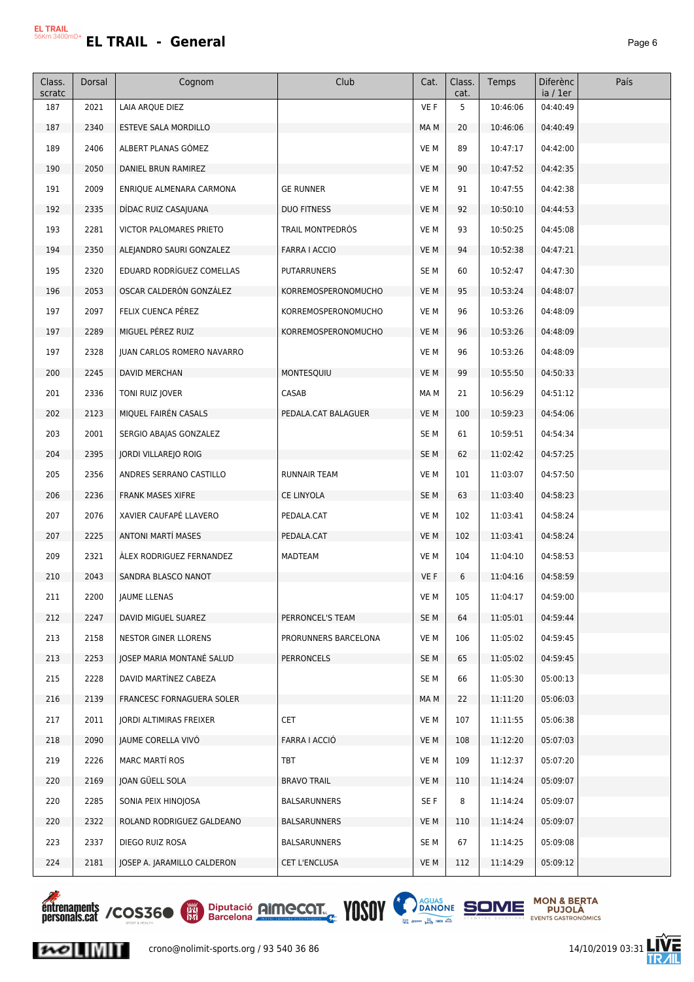| Class.<br>scratc | Dorsal | Cognom                            | Club                 | Cat.            | Class.<br>cat. | Temps    | <b>Diferènc</b><br>ia / 1er | País |
|------------------|--------|-----------------------------------|----------------------|-----------------|----------------|----------|-----------------------------|------|
| 187              | 2021   | LAIA ARQUE DIEZ                   |                      | VE F            | 5              | 10:46:06 | 04:40:49                    |      |
| 187              | 2340   | <b>ESTEVE SALA MORDILLO</b>       |                      | MA M            | 20             | 10:46:06 | 04:40:49                    |      |
| 189              | 2406   | ALBERT PLANAS GÓMEZ               |                      | VE M            | 89             | 10:47:17 | 04:42:00                    |      |
| 190              | 2050   | DANIEL BRUN RAMIREZ               |                      | VE M            | 90             | 10:47:52 | 04:42:35                    |      |
| 191              | 2009   | ENRIQUE ALMENARA CARMONA          | <b>GE RUNNER</b>     | VE M            | 91             | 10:47:55 | 04:42:38                    |      |
| 192              | 2335   | DIDAC RUIZ CASAJUANA              | <b>DUO FITNESS</b>   | VE M            | 92             | 10:50:10 | 04:44:53                    |      |
| 193              | 2281   | <b>VICTOR PALOMARES PRIETO</b>    | TRAIL MONTPEDRÓS     | VE M            | 93             | 10:50:25 | 04:45:08                    |      |
| 194              | 2350   | ALEJANDRO SAURI GONZALEZ          | <b>FARRA I ACCIO</b> | VE M            | 94             | 10:52:38 | 04:47:21                    |      |
| 195              | 2320   | EDUARD RODRÍGUEZ COMELLAS         | <b>PUTARRUNERS</b>   | SE M            | 60             | 10:52:47 | 04:47:30                    |      |
| 196              | 2053   | OSCAR CALDERÓN GONZÁLEZ           | KORREMOSPERONOMUCHO  | VE M            | 95             | 10:53:24 | 04:48:07                    |      |
| 197              | 2097   | FELIX CUENCA PÉREZ                | KORREMOSPERONOMUCHO  | VE M            | 96             | 10:53:26 | 04:48:09                    |      |
| 197              | 2289   | MIGUEL PÉREZ RUIZ                 | KORREMOSPERONOMUCHO  | VE M            | 96             | 10:53:26 | 04:48:09                    |      |
| 197              | 2328   | <b>JUAN CARLOS ROMERO NAVARRO</b> |                      | VE M            | 96             | 10:53:26 | 04:48:09                    |      |
| 200              | 2245   | DAVID MERCHAN                     | MONTESQUIU           | VE M            | 99             | 10:55:50 | 04:50:33                    |      |
| 201              | 2336   | TONI RUIZ JOVER                   | CASAB                | MA M            | 21             | 10:56:29 | 04:51:12                    |      |
| 202              | 2123   | MIQUEL FAIREN CASALS              | PEDALA.CAT BALAGUER  | VE M            | 100            | 10:59:23 | 04:54:06                    |      |
| 203              | 2001   | SERGIO ABAJAS GONZALEZ            |                      | SE M            | 61             | 10:59:51 | 04:54:34                    |      |
| 204              | 2395   | JORDI VILLAREJO ROIG              |                      | SE <sub>M</sub> | 62             | 11:02:42 | 04:57:25                    |      |
| 205              | 2356   | ANDRES SERRANO CASTILLO           | <b>RUNNAIR TEAM</b>  | VE M            | 101            | 11:03:07 | 04:57:50                    |      |
| 206              | 2236   | <b>FRANK MASES XIFRE</b>          | CE LINYOLA           | SE <sub>M</sub> | 63             | 11:03:40 | 04:58:23                    |      |
| 207              | 2076   | XAVIER CAUFAPÉ LLAVERO            | PEDALA.CAT           | VE M            | 102            | 11:03:41 | 04:58:24                    |      |
| 207              | 2225   | <b>ANTONI MARTÍ MASES</b>         | PEDALA.CAT           | VE M            | 102            | 11:03:41 | 04:58:24                    |      |
| 209              | 2321   | ALEX RODRIGUEZ FERNANDEZ          | MADTEAM              | VE M            | 104            | 11:04:10 | 04:58:53                    |      |
| 210              | 2043   | SANDRA BLASCO NANOT               |                      | VE F            | 6              | 11:04:16 | 04:58:59                    |      |
| 211              | 2200   | JAUME LLENAS                      |                      | VE M            | 105            | 11:04:17 | 04:59:00                    |      |
| 212              | 2247   | DAVID MIGUEL SUAREZ               | PERRONCEL'S TEAM     | SE M            | 64             | 11:05:01 | 04:59:44                    |      |
| 213              | 2158   | NESTOR GINER LLORENS              | PRORUNNERS BARCELONA | VE M            | 106            | 11:05:02 | 04:59:45                    |      |
| 213              | 2253   | <b>IOSEP MARIA MONTANÉ SALUD</b>  | <b>PERRONCELS</b>    | SE M            | 65             | 11:05:02 | 04:59:45                    |      |
| 215              | 2228   | DAVID MARTINEZ CABEZA             |                      | SE M            | 66             | 11:05:30 | 05:00:13                    |      |
| 216              | 2139   | FRANCESC FORNAGUERA SOLER         |                      | MA M            | 22             | 11:11:20 | 05:06:03                    |      |
| 217              | 2011   | JORDI ALTIMIRAS FREIXER           | <b>CET</b>           | VE M            | 107            | 11:11:55 | 05:06:38                    |      |
| 218              | 2090   | JAUME CORELLA VIVO                | FARRA I ACCIÓ        | VE M            | 108            | 11:12:20 | 05:07:03                    |      |
| 219              | 2226   | <b>MARC MARTÍ ROS</b>             | TBT                  | VE M            | 109            | 11:12:37 | 05:07:20                    |      |
| 220              | 2169   | JOAN GÜELL SOLA                   | <b>BRAVO TRAIL</b>   | VE M            | 110            | 11:14:24 | 05:09:07                    |      |
| 220              | 2285   | SONIA PEIX HINOJOSA               | BALSARUNNERS         | SE F            | 8              | 11:14:24 | 05:09:07                    |      |
| 220              | 2322   | ROLAND RODRIGUEZ GALDEANO         | BALSARUNNERS         | VE M            | 110            | 11:14:24 | 05:09:07                    |      |
| 223              | 2337   | DIEGO RUIZ ROSA                   | BALSARUNNERS         | SE M            | 67             | 11:14:25 | 05:09:08                    |      |
| 224              | 2181   | JOSEP A. JARAMILLO CALDERON       | CET L'ENCLUSA        | VE M            | 112            | 11:14:29 | 05:09:12                    |      |



 $|{\boldsymbol{\kappa}}\circ|$  .  $\|$   $\|$   $\|$   $\|$ 



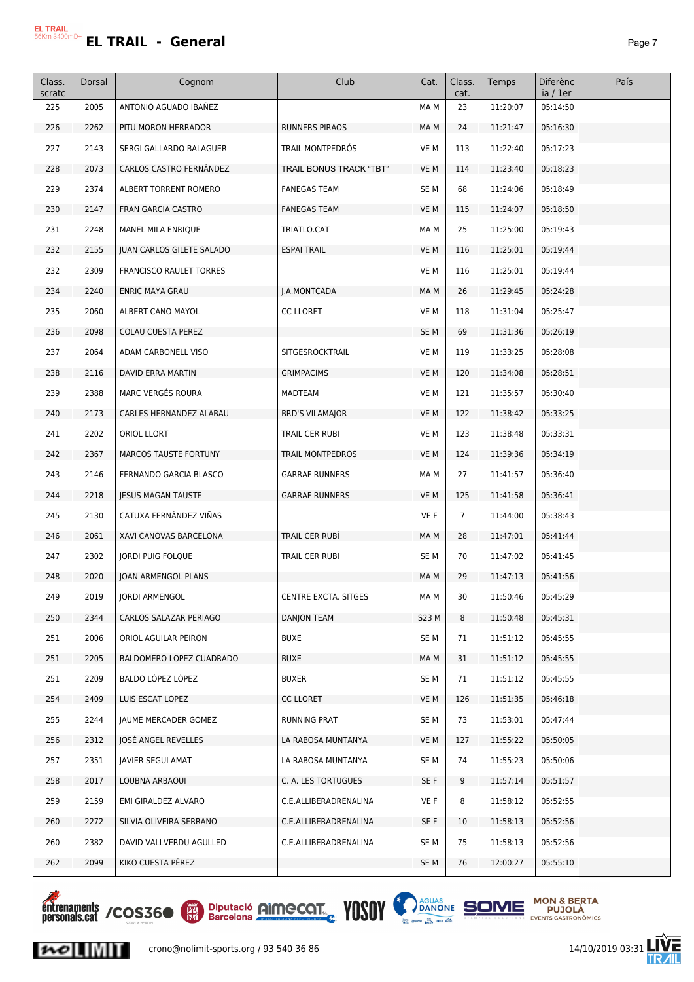| Class.<br>scratc | Dorsal | Cognom                         | Club                    | Cat.            | Class.<br>cat. | Temps    | <b>Diferènc</b><br>ia / 1er | País |
|------------------|--------|--------------------------------|-------------------------|-----------------|----------------|----------|-----------------------------|------|
| 225              | 2005   | ANTONIO AGUADO IBAÑEZ          |                         | MA M            | 23             | 11:20:07 | 05:14:50                    |      |
| 226              | 2262   | PITU MORON HERRADOR            | RUNNERS PIRAOS          | MA M            | 24             | 11:21:47 | 05:16:30                    |      |
| 227              | 2143   | SERGI GALLARDO BALAGUER        | TRAIL MONTPEDROS        | VE M            | 113            | 11:22:40 | 05:17:23                    |      |
| 228              | 2073   | CARLOS CASTRO FERNÁNDEZ        | TRAIL BONUS TRACK "TBT" | VE M            | 114            | 11:23:40 | 05:18:23                    |      |
| 229              | 2374   | ALBERT TORRENT ROMERO          | <b>FANEGAS TEAM</b>     | SE <sub>M</sub> | 68             | 11:24:06 | 05:18:49                    |      |
| 230              | 2147   | FRAN GARCIA CASTRO             | <b>FANEGAS TEAM</b>     | VE M            | 115            | 11:24:07 | 05:18:50                    |      |
| 231              | 2248   | MANEL MILA ENRIQUE             | TRIATLO.CAT             | MA M            | 25             | 11:25:00 | 05:19:43                    |      |
| 232              | 2155   | JUAN CARLOS GILETE SALADO      | <b>ESPAI TRAIL</b>      | VE M            | 116            | 11:25:01 | 05:19:44                    |      |
| 232              | 2309   | <b>FRANCISCO RAULET TORRES</b> |                         | VE M            | 116            | 11:25:01 | 05:19:44                    |      |
| 234              | 2240   | <b>ENRIC MAYA GRAU</b>         | J.A.MONTCADA            | MA M            | 26             | 11:29:45 | 05:24:28                    |      |
| 235              | 2060   | ALBERT CANO MAYOL              | <b>CC LLORET</b>        | VE M            | 118            | 11:31:04 | 05:25:47                    |      |
| 236              | 2098   | COLAU CUESTA PEREZ             |                         | SE <sub>M</sub> | 69             | 11:31:36 | 05:26:19                    |      |
| 237              | 2064   | ADAM CARBONELL VISO            | SITGESROCKTRAIL         | VE M            | 119            | 11:33:25 | 05:28:08                    |      |
| 238              | 2116   | <b>DAVID ERRA MARTIN</b>       | <b>GRIMPACIMS</b>       | VE M            | 120            | 11:34:08 | 05:28:51                    |      |
| 239              | 2388   | MARC VERGES ROURA              | MADTEAM                 | VE M            | 121            | 11:35:57 | 05:30:40                    |      |
| 240              | 2173   | CARLES HERNANDEZ ALABAU        | <b>BRD'S VILAMAJOR</b>  | VE M            | 122            | 11:38:42 | 05:33:25                    |      |
| 241              | 2202   | ORIOL LLORT                    | TRAIL CER RUBI          | VE M            | 123            | 11:38:48 | 05:33:31                    |      |
| 242              | 2367   | MARCOS TAUSTE FORTUNY          | <b>TRAIL MONTPEDROS</b> | VE M            | 124            | 11:39:36 | 05:34:19                    |      |
| 243              | 2146   | FERNANDO GARCIA BLASCO         | <b>GARRAF RUNNERS</b>   | MA M            | 27             | 11:41:57 | 05:36:40                    |      |
| 244              | 2218   | <b>JESUS MAGAN TAUSTE</b>      | <b>GARRAF RUNNERS</b>   | VE M            | 125            | 11:41:58 | 05:36:41                    |      |
| 245              | 2130   | CATUXA FERNANDEZ VIÑAS         |                         | VE F            | $\overline{7}$ | 11:44:00 | 05:38:43                    |      |
| 246              | 2061   | XAVI CANOVAS BARCELONA         | TRAIL CER RUBI          | MA M            | 28             | 11:47:01 | 05:41:44                    |      |
| 247              | 2302   | <b>JORDI PUIG FOLQUE</b>       | TRAIL CER RUBI          | SE <sub>M</sub> | 70             | 11:47:02 | 05:41:45                    |      |
| 248              | 2020   | JOAN ARMENGOL PLANS            |                         | MA M            | 29             | 11:47:13 | 05:41:56                    |      |
| 249              | 2019   | JORDI ARMENGOL                 | CENTRE EXCTA. SITGES    | MA M            | 30             | 11:50:46 | 05:45:29                    |      |
| 250              | 2344   | CARLOS SALAZAR PERIAGO         | <b>DANJON TEAM</b>      | S23 M           | 8              | 11:50:48 | 05:45:31                    |      |
| 251              | 2006   | ORIOL AGUILAR PEIRON           | <b>BUXE</b>             | SE M            | 71             | 11:51:12 | 05:45:55                    |      |
| 251              | 2205   | BALDOMERO LOPEZ CUADRADO       | <b>BUXE</b>             | MA M            | 31             | 11:51:12 | 05:45:55                    |      |
| 251              | 2209   | BALDO LÓPEZ LÓPEZ              | <b>BUXER</b>            | SE <sub>M</sub> | 71             | 11:51:12 | 05:45:55                    |      |
| 254              | 2409   | LUIS ESCAT LOPEZ               | <b>CC LLORET</b>        | VE M            | 126            | 11:51:35 | 05:46:18                    |      |
| 255              | 2244   | JAUME MERCADER GOMEZ           | RUNNING PRAT            | SE <sub>M</sub> | 73             | 11:53:01 | 05:47:44                    |      |
| 256              | 2312   | IOSÉ ANGEL REVELLES            | LA RABOSA MUNTANYA      | VE M            | 127            | 11:55:22 | 05:50:05                    |      |
| 257              | 2351   | JAVIER SEGUI AMAT              | LA RABOSA MUNTANYA      | SE <sub>M</sub> | 74             | 11:55:23 | 05:50:06                    |      |
| 258              | 2017   | LOUBNA ARBAOUI                 | C. A. LES TORTUGUES     | SE F            | 9              | 11:57:14 | 05:51:57                    |      |
| 259              | 2159   | EMI GIRALDEZ ALVARO            | C.E.ALLIBERADRENALINA   | VE F            | 8              | 11:58:12 | 05:52:55                    |      |
| 260              | 2272   | SILVIA OLIVEIRA SERRANO        | C.E.ALLIBERADRENALINA   | SE F            | 10             | 11:58:13 | 05:52:56                    |      |
| 260              | 2382   | DAVID VALLVERDU AGULLED        | C.E.ALLIBERADRENALINA   | SE <sub>M</sub> | 75             | 11:58:13 | 05:52:56                    |      |
| 262              | 2099   | KIKO CUESTA PÉREZ              |                         | SE M            | 76             | 12:00:27 | 05:55:10                    |      |

*<u>entrenaments</u>*<br>personals.cat/COS36<sup>o</sup>

 $|{\boldsymbol{\kappa}}\circ|$   $\|$   $\|$   $\|$   $\|$   $\|$ 





**MON & BERTA<br>PUJOLÀ**<br>EVENTS GASTRONÒMICS



crono@nolimit-sports.org / 93 540 36 86 14/10/2019 03:31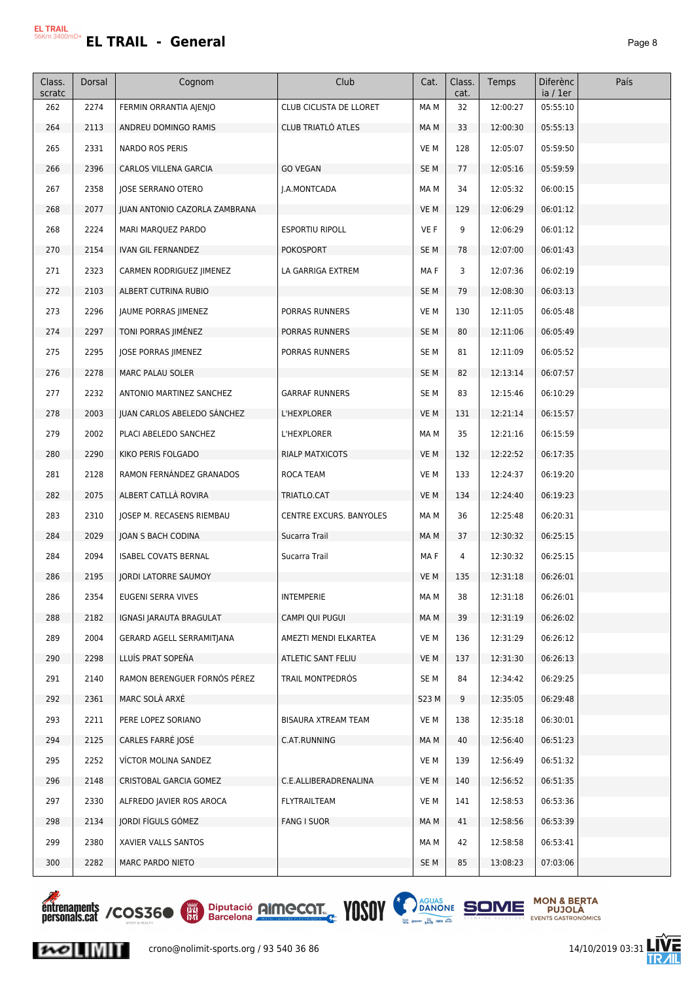| Class.<br>scratc | Dorsal | Cognom                        | Club                      | Cat.            | Class.<br>cat. | Temps    | <b>Diferènc</b><br>ia / 1er | País |
|------------------|--------|-------------------------------|---------------------------|-----------------|----------------|----------|-----------------------------|------|
| 262              | 2274   | FERMIN ORRANTIA AJENJO        | CLUB CICLISTA DE LLORET   | MA M            | 32             | 12:00:27 | 05:55:10                    |      |
| 264              | 2113   | ANDREU DOMINGO RAMIS          | <b>CLUB TRIATLÓ ATLES</b> | MA M            | 33             | 12:00:30 | 05:55:13                    |      |
| 265              | 2331   | NARDO ROS PERIS               |                           | VE M            | 128            | 12:05:07 | 05:59:50                    |      |
| 266              | 2396   | CARLOS VILLENA GARCIA         | <b>GO VEGAN</b>           | SE <sub>M</sub> | 77             | 12:05:16 | 05:59:59                    |      |
| 267              | 2358   | <b>JOSE SERRANO OTERO</b>     | J.A.MONTCADA              | MA M            | 34             | 12:05:32 | 06:00:15                    |      |
| 268              | 2077   | JUAN ANTONIO CAZORLA ZAMBRANA |                           | VE M            | 129            | 12:06:29 | 06:01:12                    |      |
| 268              | 2224   | MARI MARQUEZ PARDO            | <b>ESPORTIU RIPOLL</b>    | VE F            | 9              | 12:06:29 | 06:01:12                    |      |
| 270              | 2154   | IVAN GIL FERNANDEZ            | <b>POKOSPORT</b>          | SE <sub>M</sub> | 78             | 12:07:00 | 06:01:43                    |      |
| 271              | 2323   | CARMEN RODRIGUEZ JIMENEZ      | LA GARRIGA EXTREM         | MA F            | 3              | 12:07:36 | 06:02:19                    |      |
| 272              | 2103   | ALBERT CUTRINA RUBIO          |                           | SE <sub>M</sub> | 79             | 12:08:30 | 06:03:13                    |      |
| 273              | 2296   | JAUME PORRAS JIMENEZ          | PORRAS RUNNERS            | VE M            | 130            | 12:11:05 | 06:05:48                    |      |
| 274              | 2297   | TONI PORRAS JIMÉNEZ           | PORRAS RUNNERS            | SE M            | 80             | 12:11:06 | 06:05:49                    |      |
| 275              | 2295   | JOSE PORRAS JIMENEZ           | PORRAS RUNNERS            | SE M            | 81             | 12:11:09 | 06:05:52                    |      |
| 276              | 2278   | MARC PALAU SOLER              |                           | SE <sub>M</sub> | 82             | 12:13:14 | 06:07:57                    |      |
| 277              | 2232   | ANTONIO MARTINEZ SANCHEZ      | <b>GARRAF RUNNERS</b>     | SE M            | 83             | 12:15:46 | 06:10:29                    |      |
| 278              | 2003   | JUAN CARLOS ABELEDO SÁNCHEZ   | L'HEXPLORER               | VE M            | 131            | 12:21:14 | 06:15:57                    |      |
| 279              | 2002   | PLACI ABELEDO SANCHEZ         | L'HEXPLORER               | MA M            | 35             | 12:21:16 | 06:15:59                    |      |
| 280              | 2290   | KIKO PERIS FOLGADO            | RIALP MATXICOTS           | VE M            | 132            | 12:22:52 | 06:17:35                    |      |
| 281              | 2128   | RAMON FERNÁNDEZ GRANADOS      | ROCA TEAM                 | VE M            | 133            | 12:24:37 | 06:19:20                    |      |
| 282              | 2075   | ALBERT CATLLA ROVIRA          | TRIATLO.CAT               | VE M            | 134            | 12:24:40 | 06:19:23                    |      |
| 283              | 2310   | JOSEP M. RECASENS RIEMBAU     | CENTRE EXCURS. BANYOLES   | MA M            | 36             | 12:25:48 | 06:20:31                    |      |
| 284              | 2029   | JOAN S BACH CODINA            | Sucarra Trail             | MA M            | 37             | 12:30:32 | 06:25:15                    |      |
| 284              | 2094   | <b>ISABEL COVATS BERNAL</b>   | Sucarra Trail             | MA F            | 4              | 12:30:32 | 06:25:15                    |      |
| 286              | 2195   | <b>JORDI LATORRE SAUMOY</b>   |                           | VE M            | 135            | 12:31:18 | 06:26:01                    |      |
| 286              | 2354   | EUGENI SERRA VIVES            | <b>INTEMPERIE</b>         | MA M            | 38             | 12:31:18 | 06:26:01                    |      |
| 288              | 2182   | IGNASI JARAUTA BRAGULAT       | CAMPI QUI PUGUI           | MA M            | 39             | 12:31:19 | 06:26:02                    |      |
| 289              | 2004   | GERARD AGELL SERRAMITJANA     | AMEZTI MENDI ELKARTEA     | VE M            | 136            | 12:31:29 | 06:26:12                    |      |
| 290              | 2298   | LLUÍS PRAT SOPEÑA             | ATLETIC SANT FELIU        | VE M            | 137            | 12:31:30 | 06:26:13                    |      |
| 291              | 2140   | RAMON BERENGUER FORNÓS PÉREZ  | TRAIL MONTPEDRÓS          | SE M            | 84             | 12:34:42 | 06:29:25                    |      |
| 292              | 2361   | MARC SOLA ARXE                |                           | S23 M           | 9              | 12:35:05 | 06:29:48                    |      |
| 293              | 2211   | PERE LOPEZ SORIANO            | BISAURA XTREAM TEAM       | VE M            | 138            | 12:35:18 | 06:30:01                    |      |
| 294              | 2125   | CARLES FARRE JOSÉ             | C.AT.RUNNING              | MA M            | 40             | 12:56:40 | 06:51:23                    |      |
| 295              | 2252   | VICTOR MOLINA SANDEZ          |                           | VE M            | 139            | 12:56:49 | 06:51:32                    |      |
| 296              | 2148   | CRISTOBAL GARCIA GOMEZ        | C.E.ALLIBERADRENALINA     | VE M            | 140            | 12:56:52 | 06:51:35                    |      |
| 297              | 2330   | ALFREDO JAVIER ROS AROCA      | FLYTRAILTEAM              | VE M            | 141            | 12:58:53 | 06:53:36                    |      |
| 298              | 2134   | JORDI FÍGULS GÓMEZ            | <b>FANG I SUOR</b>        | MA M            | 41             | 12:58:56 | 06:53:39                    |      |
| 299              | 2380   | XAVIER VALLS SANTOS           |                           | MA M            | 42             | 12:58:58 | 06:53:41                    |      |
| 300              | 2282   | MARC PARDO NIETO              |                           | SE <sub>M</sub> | 85             | 13:08:23 | 07:03:06                    |      |



 $\sim$   $\sim$ 





Ē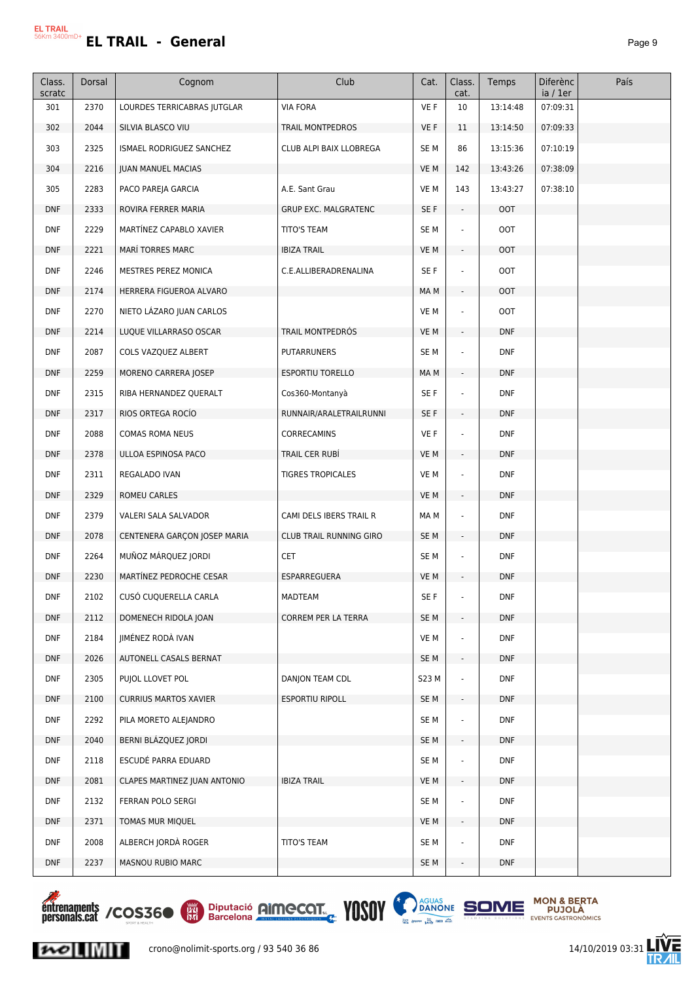| Class.<br>scratc | Dorsal | Cognom                       | Club                        | Cat.            | Class.<br>cat.              | Temps      | Diferènc<br>ia / 1er | País |
|------------------|--------|------------------------------|-----------------------------|-----------------|-----------------------------|------------|----------------------|------|
| 301              | 2370   | LOURDES TERRICABRAS JUTGLAR  | <b>VIA FORA</b>             | VE F            | 10                          | 13:14:48   | 07:09:31             |      |
| 302              | 2044   | SILVIA BLASCO VIU            | TRAIL MONTPEDROS            | VE F            | 11                          | 13:14:50   | 07:09:33             |      |
| 303              | 2325   | ISMAEL RODRIGUEZ SANCHEZ     | CLUB ALPI BAIX LLOBREGA     | SE <sub>M</sub> | 86                          | 13:15:36   | 07:10:19             |      |
| 304              | 2216   | <b>JUAN MANUEL MACIAS</b>    |                             | VE M            | 142                         | 13:43:26   | 07:38:09             |      |
| 305              | 2283   | PACO PAREJA GARCIA           | A.E. Sant Grau              | VE M            | 143                         | 13:43:27   | 07:38:10             |      |
| <b>DNF</b>       | 2333   | ROVIRA FERRER MARIA          | <b>GRUP EXC. MALGRATENC</b> | SE F            | $\overline{\phantom{a}}$    | OOT        |                      |      |
| <b>DNF</b>       | 2229   | MARTÍNEZ CAPABLO XAVIER      | <b>TITO'S TEAM</b>          | SE <sub>M</sub> |                             | <b>OOT</b> |                      |      |
| <b>DNF</b>       | 2221   | <b>MARÍ TORRES MARC</b>      | <b>IBIZA TRAIL</b>          | VE M            | ÷.                          | <b>OOT</b> |                      |      |
| <b>DNF</b>       | 2246   | MESTRES PEREZ MONICA         | C.E.ALLIBERADRENALINA       | SE F            |                             | <b>OOT</b> |                      |      |
| <b>DNF</b>       | 2174   | HERRERA FIGUEROA ALVARO      |                             | MA M            | $\overline{\phantom{a}}$    | <b>OOT</b> |                      |      |
| <b>DNF</b>       | 2270   | NIETO LAZARO JUAN CARLOS     |                             | VE M            | $\sim$                      | OOT        |                      |      |
| <b>DNF</b>       | 2214   | LUQUE VILLARRASO OSCAR       | TRAIL MONTPEDRÓS            | VE M            | $\overline{\phantom{a}}$    | <b>DNF</b> |                      |      |
| <b>DNF</b>       | 2087   | COLS VAZQUEZ ALBERT          | <b>PUTARRUNERS</b>          | SE <sub>M</sub> |                             | <b>DNF</b> |                      |      |
| <b>DNF</b>       | 2259   | MORENO CARRERA JOSEP         | <b>ESPORTIU TORELLO</b>     | MA M            | $\sim$                      | <b>DNF</b> |                      |      |
| <b>DNF</b>       | 2315   | RIBA HERNANDEZ QUERALT       | Cos360-Montanyà             | SE F            |                             | <b>DNF</b> |                      |      |
| <b>DNF</b>       | 2317   | RIOS ORTEGA ROCÍO            | RUNNAIR/ARALETRAILRUNNI     | SE F            | $\blacksquare$              | <b>DNF</b> |                      |      |
| <b>DNF</b>       | 2088   | <b>COMAS ROMA NEUS</b>       | CORRECAMINS                 | VE F            | ÷                           | <b>DNF</b> |                      |      |
| <b>DNF</b>       | 2378   | ULLOA ESPINOSA PACO          | TRAIL CER RUBI              | VE M            | $\sim$                      | <b>DNF</b> |                      |      |
| <b>DNF</b>       | 2311   | REGALADO IVAN                | <b>TIGRES TROPICALES</b>    | VE M            |                             | <b>DNF</b> |                      |      |
| <b>DNF</b>       | 2329   | <b>ROMEU CARLES</b>          |                             | VE M            | $\mathcal{L}_{\mathcal{A}}$ | <b>DNF</b> |                      |      |
| <b>DNF</b>       | 2379   | VALERI SALA SALVADOR         | CAMI DELS IBERS TRAIL R     | MA M            |                             | <b>DNF</b> |                      |      |
| <b>DNF</b>       | 2078   | CENTENERA GARÇON JOSEP MARIA | CLUB TRAIL RUNNING GIRO     | SE <sub>M</sub> | $\blacksquare$              | <b>DNF</b> |                      |      |
| <b>DNF</b>       | 2264   | MUÑOZ MÁRQUEZ JORDI          | <b>CET</b>                  | SE <sub>M</sub> |                             | <b>DNF</b> |                      |      |
| <b>DNF</b>       | 2230   | MARTINEZ PEDROCHE CESAR      | ESPARREGUERA                | VE M            |                             | <b>DNF</b> |                      |      |
| <b>DNF</b>       | 2102   | CUSÓ CUQUERELLA CARLA        | MADTEAM                     | SE F            |                             | <b>DNF</b> |                      |      |
| <b>DNF</b>       | 2112   | DOMENECH RIDOLA JOAN         | CORREM PER LA TERRA         | SE <sub>M</sub> |                             | <b>DNF</b> |                      |      |
| <b>DNF</b>       | 2184   | JIMÉNEZ RODÁ IVAN            |                             | VE M            |                             | <b>DNF</b> |                      |      |
| <b>DNF</b>       | 2026   | AUTONELL CASALS BERNAT       |                             | SE <sub>M</sub> | $\overline{\phantom{a}}$    | <b>DNF</b> |                      |      |
| <b>DNF</b>       | 2305   | PUJOL LLOVET POL             | DANJON TEAM CDL             | S23 M           |                             | <b>DNF</b> |                      |      |
| <b>DNF</b>       | 2100   | <b>CURRIUS MARTOS XAVIER</b> | <b>ESPORTIU RIPOLL</b>      | SE M            | $\blacksquare$              | <b>DNF</b> |                      |      |
| <b>DNF</b>       | 2292   | PILA MORETO ALEJANDRO        |                             | SE <sub>M</sub> |                             | <b>DNF</b> |                      |      |
| <b>DNF</b>       | 2040   | BERNI BLÁZQUEZ JORDI         |                             | SE <sub>M</sub> | $\sim$                      | <b>DNF</b> |                      |      |
| <b>DNF</b>       | 2118   | ESCUDÉ PARRA EDUARD          |                             | SE <sub>M</sub> |                             | <b>DNF</b> |                      |      |
| <b>DNF</b>       | 2081   | CLAPES MARTINEZ JUAN ANTONIO | <b>IBIZA TRAIL</b>          | VE M            | $\blacksquare$              | <b>DNF</b> |                      |      |
| <b>DNF</b>       | 2132   | FERRAN POLO SERGI            |                             | SE <sub>M</sub> |                             | <b>DNF</b> |                      |      |
| <b>DNF</b>       | 2371   | TOMAS MUR MIQUEL             |                             | VE M            | $\overline{\phantom{a}}$    | <b>DNF</b> |                      |      |
| <b>DNF</b>       | 2008   | ALBERCH JORDÀ ROGER          | TITO'S TEAM                 | SE <sub>M</sub> |                             | <b>DNF</b> |                      |      |
| <b>DNF</b>       | 2237   | MASNOU RUBIO MARC            |                             | SE M            | $\overline{\phantom{a}}$    | <b>DNF</b> |                      |      |



 $|{\boldsymbol{\kappa}}\circ|$   $\|$   $\|$   $\|$   $\|$   $\|$